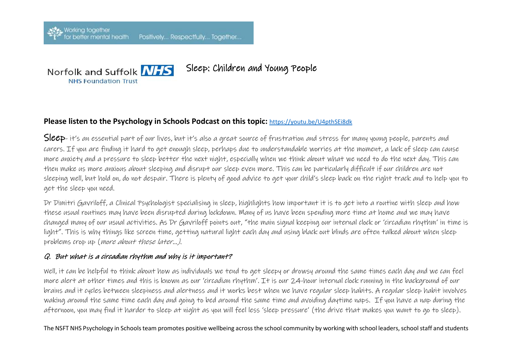

Sleep: Children and Young People

## **Please listen to the Psychology in Schools Podcast on this topic:** <https://youtu.be/U4pthSEi8dk>

Sleep- it's an essential part of our lives, but it's also a great source of frustration and stress for many young people, parents and carers. If you are finding it hard to get enough sleep, perhaps due to understandable worries at the moment, a lack of sleep can cause more anxiety and a pressure to sleep better the next night, especially when we think about what we need to do the next day. This can then make us more anxious about sleeping and disrupt our sleep even more. This can be particularly difficult if our children are not sleeping well, but hold on, do not despair. There is plenty of good advice to get your child's sleep back on the right track and to help you to get the sleep you need.

Dr Dimitri Gavriloff, a Clinical Psychologist specialising in sleep, highlights how important it is to get into a routine with sleep and how these usual routines may have been disrupted during lockdown. Many of us have been spending more time at home and we may have changed many of our usual activities. As Dr Gavriloff points out, "the main signal keeping our internal clock or 'circadian rhythm' in time is light". This is why things like screen time, getting natural light each day and using black out blinds are often talked about when sleep problems crop up (more about these later...).

#### Q. But what is a circadian rhythm and why is it important?

Well, it can be helpful to think about how as individuals we tend to get sleepy or drowsy around the same times each day and we can feel more alert at other times and this is known as our 'circadian rhythm'. It is our 24-hour internal clock running in the background of our brains and it cycles between sleepiness and alertness and it works best when we have regular sleep habits. A regular sleep habit involves waking around the same time each day and going to bed around the same time and avoiding daytime naps. If you have a nap during the afternoon, you may find it harder to sleep at night as you will feel less 'sleep pressure' (the drive that makes you want to go to sleep).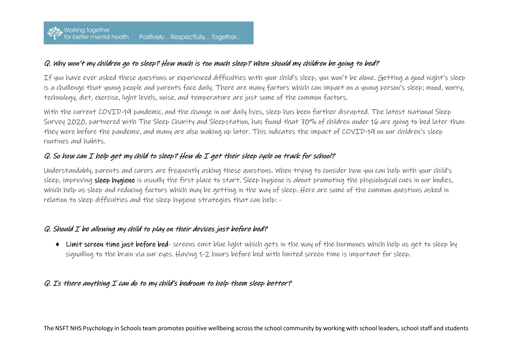#### Q. Why won't my children go to sleep? How much is too much sleep? When should my children be going to bed?

If you have ever asked these questions or experienced difficulties with your child's sleep, you won't be alone. Getting a good night's sleep is a challenge that young people and parents face daily. There are many factors which can impact on a young person's sleep; mood, worry, technology, diet, exercise, light levels, noise, and temperature are just some of the common factors.

With the current COVID-19 pandemic, and the change in our daily lives, sleep has been further disrupted. The latest National Sleep Survey 2020, partnered with The Sleep Charity and Sleepstation, has found that 70% of children under 16 are going to bed later than they were before the pandemic, and many are also waking up later. This indicates the impact of COVID-19 on our children's sleep routines and habits.

### Q. So how can I help get my child to sleep? How do I get their sleep cycle on track for school?

Understandably, parents and carers are frequently asking these questions. When trying to consider how you can help with your child's sleep, improving sleep hygiene is usually the first place to start. Sleep hygiene is about promoting the physiological cues in our bodies, which help us sleep and reducing factors which may be getting in the way of sleep. Here are some of the common questions asked in relation to sleep difficulties and the sleep hygiene strategies that can help: -

#### $Q$ . Should  $I$  be allowing my child to play on their devices just before bed?

• Limit screen time just before bed- screens emit blue light which gets in the way of the hormones which help us get to sleep by signalling to the brain via our eyes. Having 1-2 hours before bed with limited screen time is important for sleep.

#### Q. Is there anything I can do to my child's bedroom to help them sleep better?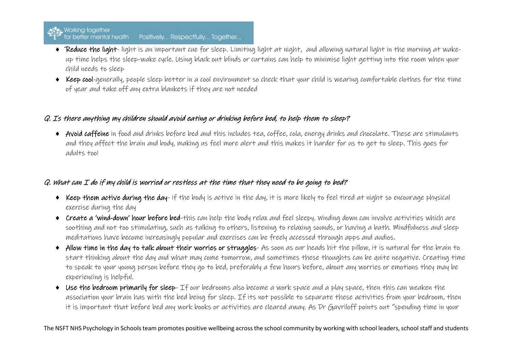# Working together<br>
For better mental health Positively... Respectfully... Together...

- Reduce the light-light is an important cue for sleep. Limiting light at night, and allowing natural light in the morning at wakeup time helps the sleep-wake cycle. Using black out blinds or curtains can help to minimise light getting into the room when your child needs to sleep
- Keep cool-generally, people sleep better in a cool environment so check that your child is wearing comfortable clothes for the time of year and take off any extra blankets if they are not needed

#### Q. Is there anything my children should avoid eating or drinking before bed, to help them to sleep?

• Avoid caffeine in food and drinks before bed and this includes tea, coffee, cola, energy drinks and chocolate. These are stimulants and they affect the brain and body, making us feel more alert and this makes it harder for us to get to sleep. This goes for adults too!

### $Q$ . What can  $I$  do if my child is worried or restless at the time that they need to be going to bed?

- Keep them active during the day- if the body is active in the day, it is more likely to feel tired at night so encourage physical exercise during the day
- Create a 'wind-down' hour before bed-this can help the body relax and feel sleepy. Winding down can involve activities which are soothing and not too stimulating, such as talking to others, listening to relaxing sounds, or having a bath. Mindfulness and sleep meditations have become increasingly popular and exercises can be freely accessed through apps and audios.
- Allow time in the day to talk about their worries or struggles- As soon as our heads hit the pillow, it is natural for the brain to start thinking about the day and what may come tomorrow, and sometimes these thoughts can be quite negative. Creating time to speak to your young person before they go to bed, preferably a few hours before, about any worries or emotions they may be experiencing is helpful.
- Use the bedroom primarily for sleep- If our bedrooms also become a work space and a play space, then this can weaken the association your brain has with the bed being for sleep. If its not possible to separate these activities from your bedroom, then it is important that before bed any work books or activities are cleared away. As Dr Gavriloff points out "spending time in your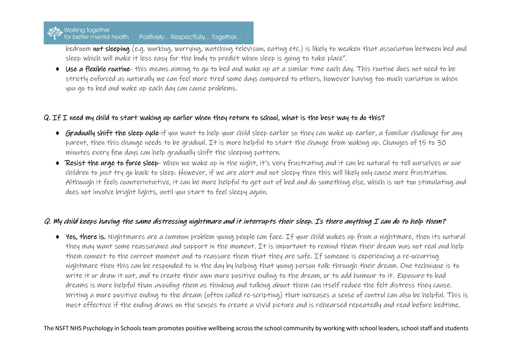# Working together<br>
for better mental health Positively... Respectfully... Together...

bedroom not sleeping (e.g. working, worrying, watching television, eating etc.) is likely to weaken that association between bed and sleep which will make it less easy for the body to predict when sleep is going to take place".

 Use a flexible routine- this means aiming to go to bed and wake up at a similar time each day. This routine does not need to be strictly enforced as naturally we can feel more tired some days compared to others, however having too much variation in when you go to bed and wake up each day can cause problems.

#### Q. If I need my child to start waking up earlier when they return to school, what is the best way to do this?

- Gradually shift the sleep cycle-if you want to help your child sleep earlier so they can wake up earlier, a familiar challenge for any parent, then this change needs to be gradual. It is more helpful to start the change from waking up. Changes of 15 to 30 minutes every few days can help gradually shift the sleeping pattern.
- Resist the urge to force sleep- when we wake up in the night, it's very frustrating and it can be natural to tell ourselves or our children to just try go back to sleep. However, if we are alert and not sleepy then this will likely only cause more frustration. Although it feels counterintuitive, it can be more helpful to get out of bed and do something else, which is not too stimulating and does not involve bright lights, until you start to feel sleepy again.

#### Q. My child keeps having the same distressing nightmare and it interrupts their sleep. Is there anything I can do to help them?

 Yes, there is. Nightmares are a common problem young people can face. If your child wakes up from a nightmare, then its natural they may want some reassurance and support in the moment. It is important to remind them their dream was not real and help them connect to the current moment and to reassure them that they are safe. If someone is experiencing a re-occurring nightmare then this can be responded to in the day by helping that young person talk through their dream. One technique is to write it or draw it out, and to create their own more positive ending to the dream, or to add humour to it. Exposure to bad dreams is more helpful than *avoiding them* as thinking and talking about them can itself reduce the felt distress they cause. Writing a more positive ending to the dream (often called re-scripting) that increases a sense of control can also be helpful. This is most effective if the ending draws on the senses to create a vivid picture and is rehearsed repeatedly and read before bedtime.